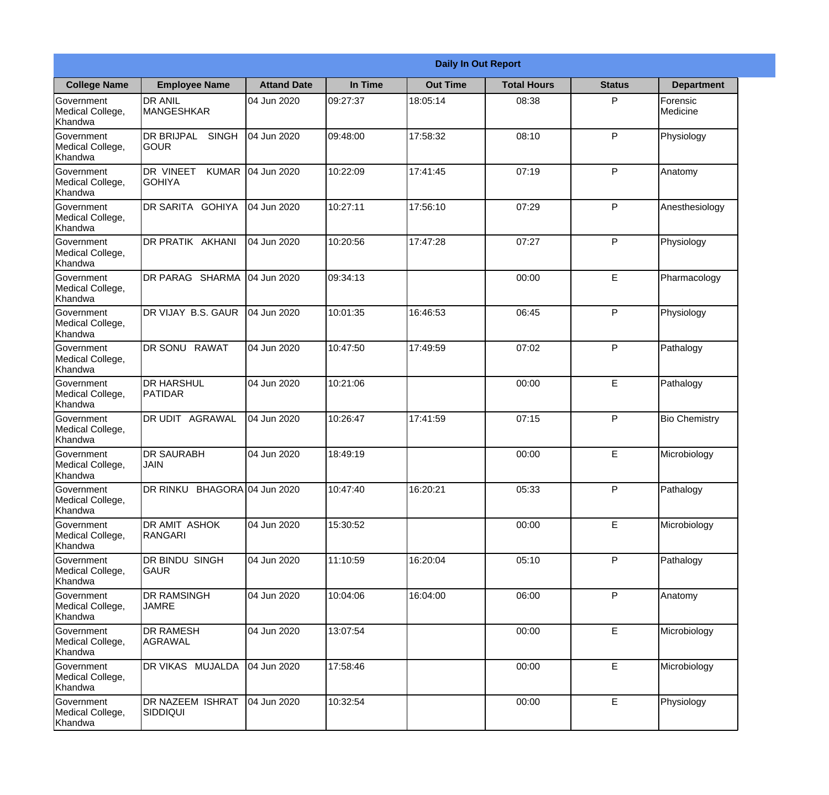|                                                  |                                                   |                    |          | <b>Daily In Out Report</b> |                    |               |                      |
|--------------------------------------------------|---------------------------------------------------|--------------------|----------|----------------------------|--------------------|---------------|----------------------|
| <b>College Name</b>                              | <b>Employee Name</b>                              | <b>Attand Date</b> | In Time  | <b>Out Time</b>            | <b>Total Hours</b> | <b>Status</b> | <b>Department</b>    |
| Government<br>Medical College,<br>Khandwa        | <b>DR ANIL</b><br><b>MANGESHKAR</b>               | 04 Jun 2020        | 09:27:37 | 18:05:14                   | 08:38              | P             | Forensic<br>Medicine |
| Government<br>Medical College,<br>Khandwa        | <b>DR BRIJPAL</b><br><b>SINGH</b><br> GOUR        | 04 Jun 2020        | 09:48:00 | 17:58:32                   | 08:10              | P             | Physiology           |
| <b>Government</b><br>Medical College,<br>Khandwa | <b>DR VINEET</b><br><b>KUMAR</b><br><b>GOHIYA</b> | 04 Jun 2020        | 10:22:09 | 17:41:45                   | 07:19              | P             | Anatomy              |
| <b>Government</b><br>Medical College,<br>Khandwa | <b>DR SARITA GOHIYA</b>                           | 04 Jun 2020        | 10:27:11 | 17:56:10                   | 07:29              | P             | Anesthesiology       |
| Government<br>Medical College,<br>Khandwa        | <b>IDR PRATIK AKHANI</b>                          | 04 Jun 2020        | 10:20:56 | 17:47:28                   | 07:27              | P             | Physiology           |
| Government<br>Medical College,<br>Khandwa        | DR PARAG SHARMA                                   | 04 Jun 2020        | 09:34:13 |                            | 00:00              | E             | Pharmacology         |
| <b>Government</b><br>Medical College,<br>Khandwa | DR VIJAY B.S. GAUR                                | 04 Jun 2020        | 10:01:35 | 16:46:53                   | 06:45              | P             | Physiology           |
| <b>Government</b><br>Medical College,<br>Khandwa | DR SONU RAWAT                                     | 04 Jun 2020        | 10:47:50 | 17:49:59                   | 07:02              | P             | Pathalogy            |
| Government<br>Medical College,<br>Khandwa        | <b>DR HARSHUL</b><br><b>PATIDAR</b>               | 04 Jun 2020        | 10:21:06 |                            | 00:00              | E             | Pathalogy            |
| Government<br>Medical College,<br>Khandwa        | <b>DR UDIT AGRAWAL</b>                            | 04 Jun 2020        | 10:26:47 | 17:41:59                   | 07:15              | P             | <b>Bio Chemistry</b> |
| Government<br>Medical College,<br>Khandwa        | IDR SAURABH<br><b>JAIN</b>                        | 04 Jun 2020        | 18:49:19 |                            | 00:00              | E             | Microbiology         |
| Government<br>Medical College,<br>Khandwa        | DR RINKU BHAGORA 04 Jun 2020                      |                    | 10:47:40 | 16:20:21                   | 05:33              | P             | Pathalogy            |
| Government<br>Medical College,<br>Khandwa        | DR AMIT ASHOK<br><b>RANGARI</b>                   | 04 Jun 2020        | 15:30:52 |                            | 00:00              | E             | Microbiology         |
| Government<br>Medical College,<br>Khandwa        | DR BINDU SINGH<br><b>GAUR</b>                     | 04 Jun 2020        | 11:10:59 | 16:20:04                   | 05:10              | P             | Pathalogy            |
| Government<br>Medical College,<br>Khandwa        | <b>DR RAMSINGH</b><br><b>JAMRE</b>                | 04 Jun 2020        | 10:04:06 | 16:04:00                   | 06:00              | P             | Anatomy              |
| Government<br>Medical College,<br>Khandwa        | <b>DR RAMESH</b><br>AGRAWAL                       | 04 Jun 2020        | 13:07:54 |                            | 00:00              | E             | Microbiology         |
| Government<br>Medical College,<br>Khandwa        | <b>DR VIKAS MUJALDA</b>                           | 04 Jun 2020        | 17:58:46 |                            | 00:00              | E             | Microbiology         |
| Government<br>Medical College,<br>Khandwa        | DR NAZEEM ISHRAT<br><b>SIDDIQUI</b>               | 04 Jun 2020        | 10:32:54 |                            | 00:00              | $\mathsf E$   | Physiology           |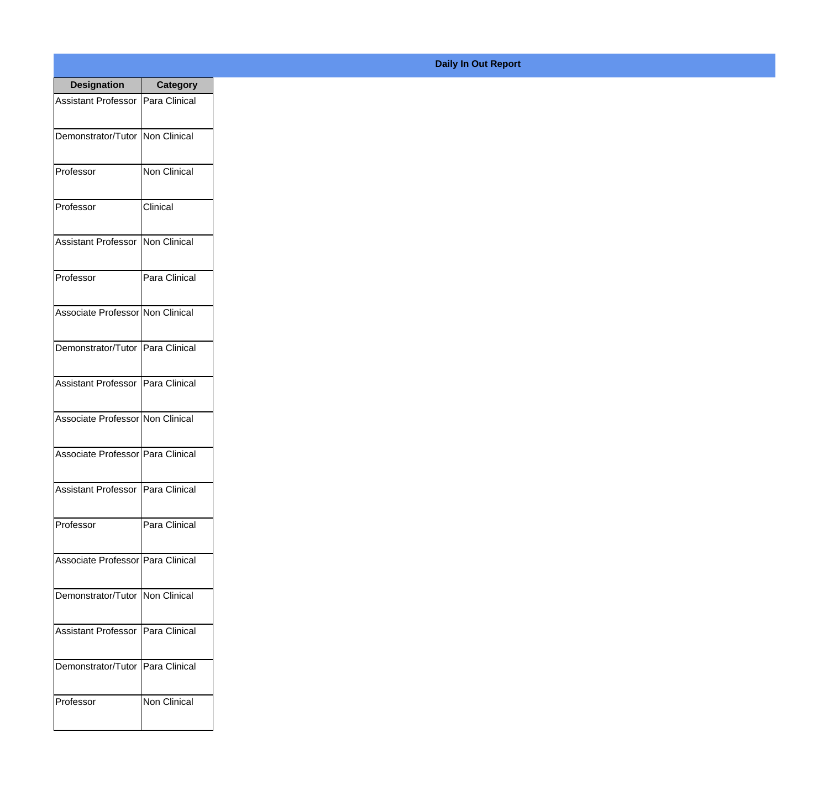| <b>Designation</b>                  | <b>Category</b> |
|-------------------------------------|-----------------|
| Assistant Professor   Para Clinical |                 |
| Demonstrator/Tutor   Non Clinical   |                 |
| Professor                           | Non Clinical    |
| Professor                           | Clinical        |
| Assistant Professor   Non Clinical  |                 |
| Professor                           | Para Clinical   |
| Associate Professor Non Clinical    |                 |
| Demonstrator/Tutor   Para Clinical  |                 |
| Assistant Professor   Para Clinical |                 |
| Associate Professor Non Clinical    |                 |
| Associate Professor Para Clinical   |                 |
| Assistant Professor   Para Clinical |                 |
| Professor                           | Para Clinical   |
| Associate Professor Para Clinical   |                 |
| Demonstrator/Tutor   Non Clinical   |                 |
| <b>Assistant Professor</b>          | Para Clinical   |
| Demonstrator/Tutor   Para Clinical  |                 |
| Professor                           | Non Clinical    |

## **Daily In Out Report**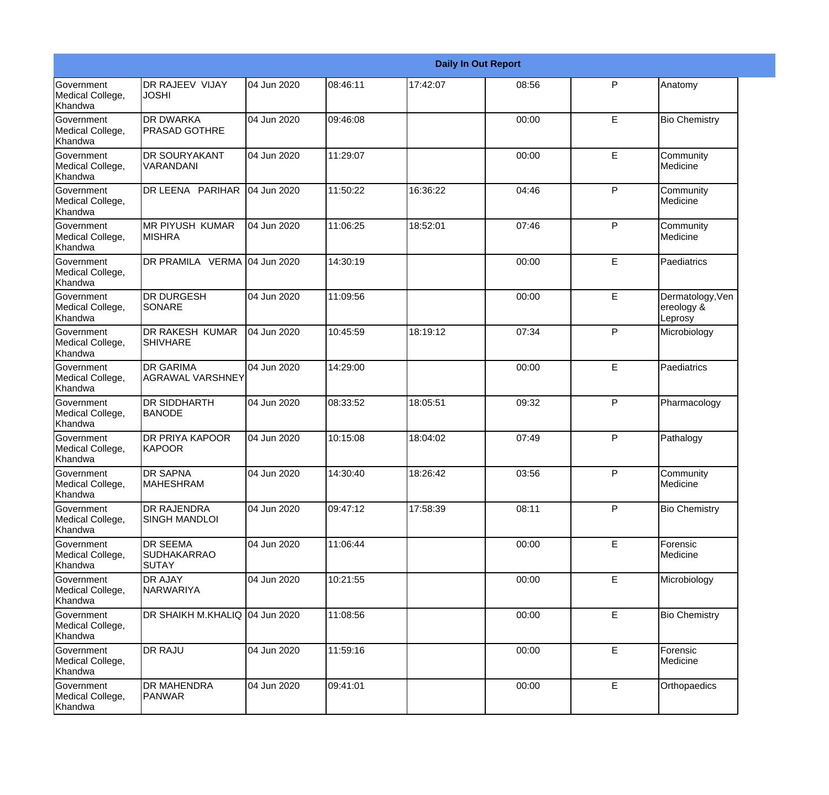|                                                  |                                                       |             |          |          | <b>Daily In Out Report</b> |              |                                           |
|--------------------------------------------------|-------------------------------------------------------|-------------|----------|----------|----------------------------|--------------|-------------------------------------------|
| Government<br>Medical College,<br>Khandwa        | DR RAJEEV VIJAY<br><b>JOSHI</b>                       | 04 Jun 2020 | 08:46:11 | 17:42:07 | 08:56                      | $\mathsf{P}$ | Anatomy                                   |
| Government<br>Medical College,<br>Khandwa        | <b>DR DWARKA</b><br><b>PRASAD GOTHRE</b>              | 04 Jun 2020 | 09:46:08 |          | 00:00                      | E            | <b>Bio Chemistry</b>                      |
| <b>Government</b><br>Medical College,<br>Khandwa | <b>DR SOURYAKANT</b><br>VARANDANI                     | 04 Jun 2020 | 11:29:07 |          | 00:00                      | E            | Community<br>Medicine                     |
| <b>Government</b><br>Medical College,<br>Khandwa | DR LEENA PARIHAR                                      | 04 Jun 2020 | 11:50:22 | 16:36:22 | 04:46                      | P            | Community<br>Medicine                     |
| Government<br>Medical College,<br>Khandwa        | <b>MR PIYUSH KUMAR</b><br><b>MISHRA</b>               | 04 Jun 2020 | 11:06:25 | 18:52:01 | 07:46                      | P            | Community<br>Medicine                     |
| Government<br>Medical College,<br>Khandwa        | DR PRAMILA VERMA 04 Jun 2020                          |             | 14:30:19 |          | 00:00                      | E            | Paediatrics                               |
| <b>Government</b><br>Medical College,<br>Khandwa | <b>DR DURGESH</b><br>SONARE                           | 04 Jun 2020 | 11:09:56 |          | 00:00                      | E            | Dermatology, Ven<br>ereology &<br>Leprosy |
| <b>Government</b><br>Medical College,<br>Khandwa | DR RAKESH KUMAR<br><b>SHIVHARE</b>                    | 04 Jun 2020 | 10:45:59 | 18:19:12 | 07:34                      | $\mathsf{P}$ | Microbiology                              |
| Government<br>Medical College,<br>Khandwa        | <b>DR GARIMA</b><br><b>AGRAWAL VARSHNEY</b>           | 04 Jun 2020 | 14:29:00 |          | 00:00                      | E            | Paediatrics                               |
| <b>Government</b><br>Medical College,<br>Khandwa | <b>DR SIDDHARTH</b><br><b>BANODE</b>                  | 04 Jun 2020 | 08:33:52 | 18:05:51 | 09:32                      | P            | Pharmacology                              |
| <b>Government</b><br>Medical College,<br>Khandwa | <b>DR PRIYA KAPOOR</b><br>KAPOOR                      | 04 Jun 2020 | 10:15:08 | 18:04:02 | 07:49                      | P            | Pathalogy                                 |
| Government<br>Medical College,<br>Khandwa        | <b>DR SAPNA</b><br><b>MAHESHRAM</b>                   | 04 Jun 2020 | 14:30:40 | 18:26:42 | 03:56                      | P            | Community<br>Medicine                     |
| Government<br>Medical College,<br>Khandwa        | <b>DR RAJENDRA</b><br><b>SINGH MANDLOI</b>            | 04 Jun 2020 | 09:47:12 | 17:58:39 | 08:11                      | P            | <b>Bio Chemistry</b>                      |
| Government<br>Medical College,<br>Khandwa        | <b>DR SEEMA</b><br><b>SUDHAKARRAO</b><br><b>SUTAY</b> | 04 Jun 2020 | 11:06:44 |          | 00:00                      | E            | Forensic<br>Medicine                      |
| Government<br>Medical College,<br>Khandwa        | <b>DR AJAY</b><br>NARWARIYA                           | 04 Jun 2020 | 10:21:55 |          | 00:00                      | E            | Microbiology                              |
| Government<br>Medical College,<br>Khandwa        | DR SHAIKH M.KHALIQ 04 Jun 2020                        |             | 11:08:56 |          | 00:00                      | E            | <b>Bio Chemistry</b>                      |
| Government<br>Medical College,<br>Khandwa        | <b>DR RAJU</b>                                        | 04 Jun 2020 | 11:59:16 |          | 00:00                      | E            | Forensic<br>Medicine                      |
| Government<br>Medical College,<br>Khandwa        | <b>DR MAHENDRA</b><br>PANWAR                          | 04 Jun 2020 | 09:41:01 |          | 00:00                      | E            | Orthopaedics                              |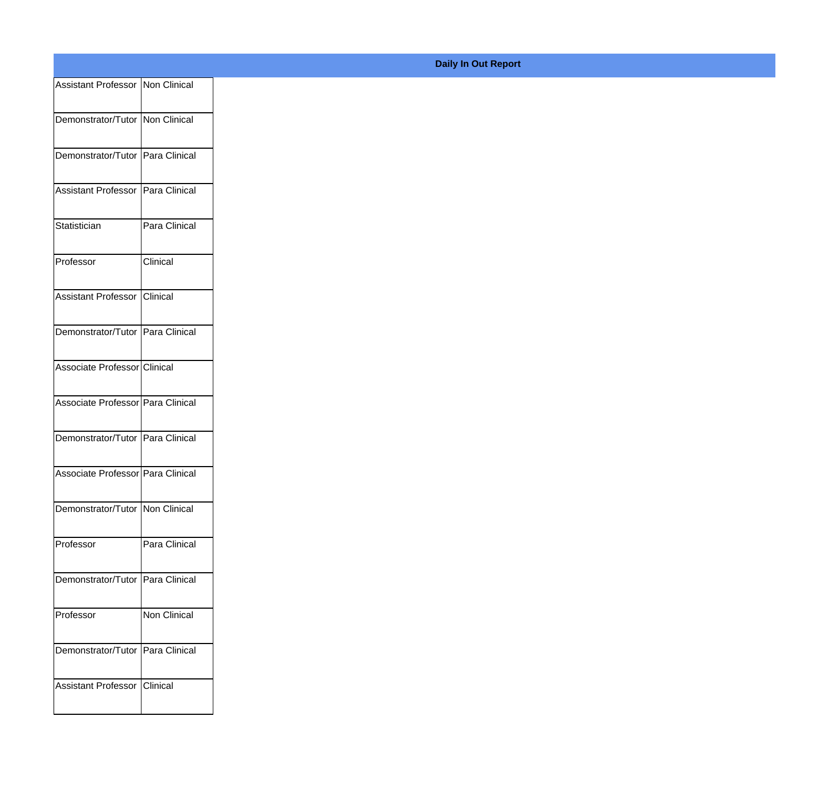| Assistant Professor Non Clinical  |               |
|-----------------------------------|---------------|
| Demonstrator/Tutor Non Clinical   |               |
|                                   |               |
| Demonstrator/Tutor Para Clinical  |               |
| Assistant Professor Para Clinical |               |
| Statistician                      | Para Clinical |
| Professor                         | Clinical      |
| Assistant Professor Clinical      |               |
| Demonstrator/Tutor Para Clinical  |               |
|                                   |               |
| Associate Professor Clinical      |               |
| Associate Professor Para Clinical |               |
| Demonstrator/Tutor Para Clinical  |               |
| Associate Professor Para Clinical |               |
| Demonstrator/Tutor Non Clinical   |               |
|                                   |               |
| Professor                         | Para Clinical |
| Demonstrator/Tutor Para Clinical  |               |
| Professor                         | Non Clinical  |
| Demonstrator/Tutor Para Clinical  |               |
| Assistant Professor Clinical      |               |
|                                   |               |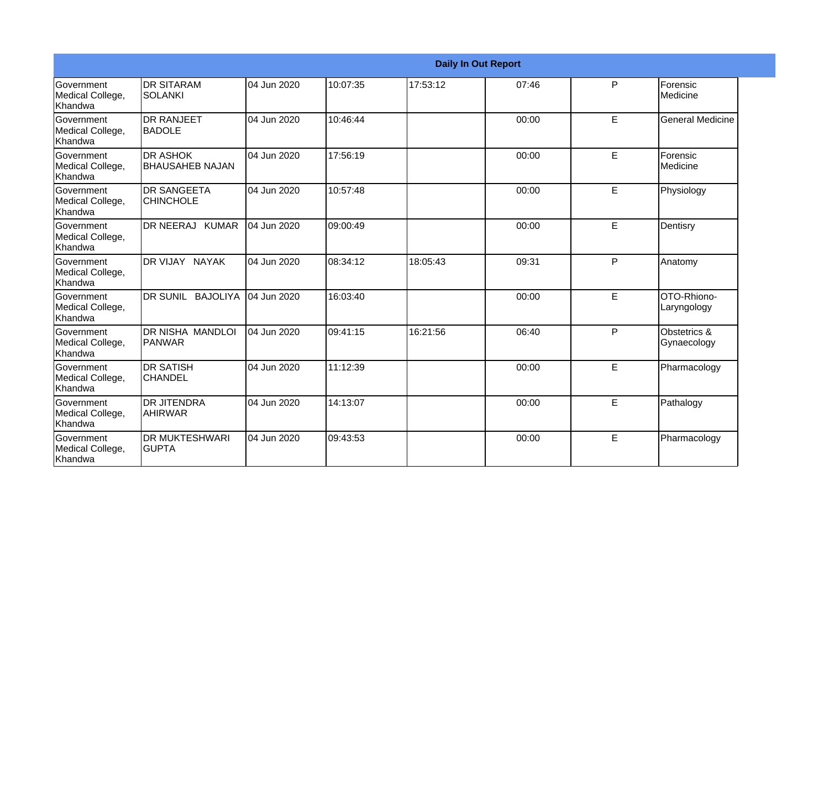|                                           |                                           |             |          |          | <b>Daily In Out Report</b> |   |                             |
|-------------------------------------------|-------------------------------------------|-------------|----------|----------|----------------------------|---|-----------------------------|
| Government<br>Medical College,<br>Khandwa | <b>DR SITARAM</b><br><b>SOLANKI</b>       | 04 Jun 2020 | 10:07:35 | 17:53:12 | 07:46                      | P | Forensic<br>Medicine        |
| Government<br>Medical College,<br>Khandwa | <b>DR RANJEET</b><br><b>BADOLE</b>        | 04 Jun 2020 | 10:46:44 |          | 00:00                      | E | <b>General Medicine</b>     |
| Government<br>Medical College,<br>Khandwa | <b>DR ASHOK</b><br><b>BHAUSAHEB NAJAN</b> | 04 Jun 2020 | 17:56:19 |          | 00:00                      | E | Forensic<br>Medicine        |
| Government<br>Medical College,<br>Khandwa | <b>DR SANGEETA</b><br><b>CHINCHOLE</b>    | 04 Jun 2020 | 10:57:48 |          | 00:00                      | E | Physiology                  |
| Government<br>Medical College,<br>Khandwa | DR NEERAJ KUMAR                           | 04 Jun 2020 | 09:00:49 |          | 00:00                      | E | Dentisry                    |
| Government<br>Medical College,<br>Khandwa | DR VIJAY NAYAK                            | 04 Jun 2020 | 08:34:12 | 18:05:43 | 09:31                      | P | Anatomy                     |
| Government<br>Medical College,<br>Khandwa | DR SUNIL BAJOLIYA                         | 04 Jun 2020 | 16:03:40 |          | 00:00                      | E | OTO-Rhiono-<br>Laryngology  |
| Government<br>Medical College,<br>Khandwa | DR NISHA MANDLOI<br>PANWAR                | 04 Jun 2020 | 09:41:15 | 16:21:56 | 06:40                      | P | Obstetrics &<br>Gynaecology |
| Government<br>Medical College,<br>Khandwa | <b>DR SATISH</b><br><b>CHANDEL</b>        | 04 Jun 2020 | 11:12:39 |          | 00:00                      | E | Pharmacology                |
| Government<br>Medical College,<br>Khandwa | <b>DR JITENDRA</b><br><b>AHIRWAR</b>      | 04 Jun 2020 | 14:13:07 |          | 00:00                      | E | Pathalogy                   |
| Government<br>Medical College,<br>Khandwa | <b>DR MUKTESHWARI</b><br><b>GUPTA</b>     | 04 Jun 2020 | 09:43:53 |          | 00:00                      | E | Pharmacology                |